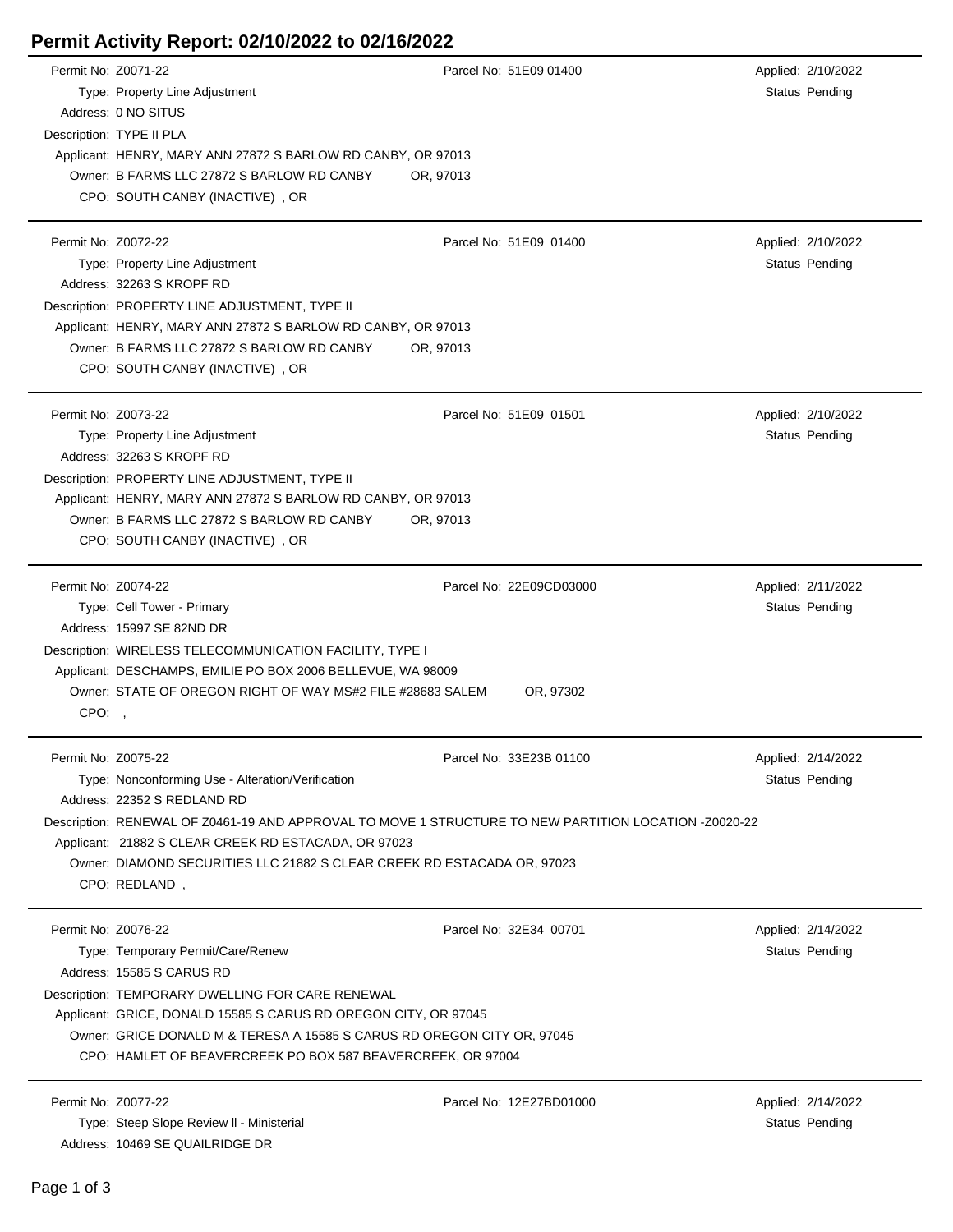|  | Permit Activity Report: 02/10/2022 to 02/16/2022 |
|--|--------------------------------------------------|
|--|--------------------------------------------------|

| Permit No: Z0071-22                                                                                        | Parcel No: 51E09 01400                                                                                | Applied: 2/10/2022    |  |  |  |
|------------------------------------------------------------------------------------------------------------|-------------------------------------------------------------------------------------------------------|-----------------------|--|--|--|
| Type: Property Line Adjustment                                                                             |                                                                                                       | <b>Status Pending</b> |  |  |  |
| Address: 0 NO SITUS                                                                                        |                                                                                                       |                       |  |  |  |
| Description: TYPE II PLA                                                                                   |                                                                                                       |                       |  |  |  |
| Applicant: HENRY, MARY ANN 27872 S BARLOW RD CANBY, OR 97013                                               |                                                                                                       |                       |  |  |  |
| Owner: B FARMS LLC 27872 S BARLOW RD CANBY                                                                 | OR, 97013                                                                                             |                       |  |  |  |
| CPO: SOUTH CANBY (INACTIVE), OR                                                                            |                                                                                                       |                       |  |  |  |
|                                                                                                            |                                                                                                       |                       |  |  |  |
| Permit No: Z0072-22                                                                                        | Parcel No: 51E09 01400                                                                                | Applied: 2/10/2022    |  |  |  |
| Type: Property Line Adjustment                                                                             |                                                                                                       | <b>Status Pending</b> |  |  |  |
| Address: 32263 S KROPF RD                                                                                  |                                                                                                       |                       |  |  |  |
| Description: PROPERTY LINE ADJUSTMENT, TYPE II                                                             |                                                                                                       |                       |  |  |  |
| Applicant: HENRY, MARY ANN 27872 S BARLOW RD CANBY, OR 97013<br>Owner: B FARMS LLC 27872 S BARLOW RD CANBY | OR, 97013                                                                                             |                       |  |  |  |
| CPO: SOUTH CANBY (INACTIVE), OR                                                                            |                                                                                                       |                       |  |  |  |
|                                                                                                            |                                                                                                       |                       |  |  |  |
| Permit No: Z0073-22                                                                                        | Parcel No: 51E09 01501                                                                                | Applied: 2/10/2022    |  |  |  |
| Type: Property Line Adjustment                                                                             |                                                                                                       | <b>Status Pending</b> |  |  |  |
| Address: 32263 S KROPF RD                                                                                  |                                                                                                       |                       |  |  |  |
| Description: PROPERTY LINE ADJUSTMENT, TYPE II                                                             |                                                                                                       |                       |  |  |  |
| Applicant: HENRY, MARY ANN 27872 S BARLOW RD CANBY, OR 97013                                               |                                                                                                       |                       |  |  |  |
| Owner: B FARMS LLC 27872 S BARLOW RD CANBY                                                                 | OR, 97013                                                                                             |                       |  |  |  |
| CPO: SOUTH CANBY (INACTIVE), OR                                                                            |                                                                                                       |                       |  |  |  |
| Permit No: Z0074-22                                                                                        | Parcel No: 22E09CD03000                                                                               | Applied: 2/11/2022    |  |  |  |
| Type: Cell Tower - Primary                                                                                 |                                                                                                       | Status Pending        |  |  |  |
| Address: 15997 SE 82ND DR                                                                                  |                                                                                                       |                       |  |  |  |
| Description: WIRELESS TELECOMMUNICATION FACILITY, TYPE I                                                   |                                                                                                       |                       |  |  |  |
| Applicant: DESCHAMPS, EMILIE PO BOX 2006 BELLEVUE, WA 98009                                                |                                                                                                       |                       |  |  |  |
| Owner: STATE OF OREGON RIGHT OF WAY MS#2 FILE #28683 SALEM                                                 | OR, 97302                                                                                             |                       |  |  |  |
| CPO:,                                                                                                      |                                                                                                       |                       |  |  |  |
|                                                                                                            |                                                                                                       |                       |  |  |  |
| Permit No: Z0075-22                                                                                        | Parcel No: 33E23B 01100                                                                               | Applied: 2/14/2022    |  |  |  |
| Type: Nonconforming Use - Alteration/Verification                                                          |                                                                                                       | Status Pending        |  |  |  |
| Address: 22352 S REDLAND RD                                                                                |                                                                                                       |                       |  |  |  |
|                                                                                                            | Description: RENEWAL OF Z0461-19 AND APPROVAL TO MOVE 1 STRUCTURE TO NEW PARTITION LOCATION -Z0020-22 |                       |  |  |  |
| Applicant: 21882 S CLEAR CREEK RD ESTACADA, OR 97023                                                       |                                                                                                       |                       |  |  |  |
| Owner: DIAMOND SECURITIES LLC 21882 S CLEAR CREEK RD ESTACADA OR, 97023<br>CPO: REDLAND,                   |                                                                                                       |                       |  |  |  |
|                                                                                                            |                                                                                                       |                       |  |  |  |
| Permit No: Z0076-22                                                                                        | Parcel No: 32E34 00701                                                                                | Applied: 2/14/2022    |  |  |  |
| Type: Temporary Permit/Care/Renew                                                                          |                                                                                                       | Status Pending        |  |  |  |
| Address: 15585 S CARUS RD                                                                                  |                                                                                                       |                       |  |  |  |
| Description: TEMPORARY DWELLING FOR CARE RENEWAL                                                           |                                                                                                       |                       |  |  |  |
| Applicant: GRICE, DONALD 15585 S CARUS RD OREGON CITY, OR 97045                                            |                                                                                                       |                       |  |  |  |
| Owner: GRICE DONALD M & TERESA A 15585 S CARUS RD OREGON CITY OR, 97045                                    |                                                                                                       |                       |  |  |  |
| CPO: HAMLET OF BEAVERCREEK PO BOX 587 BEAVERCREEK, OR 97004                                                |                                                                                                       |                       |  |  |  |
| Permit No: Z0077-22                                                                                        | Parcel No: 12E27BD01000                                                                               | Applied: 2/14/2022    |  |  |  |
| Type: Steep Slope Review II - Ministerial                                                                  |                                                                                                       | <b>Status Pending</b> |  |  |  |
| Address: 10469 SE QUAILRIDGE DR                                                                            |                                                                                                       |                       |  |  |  |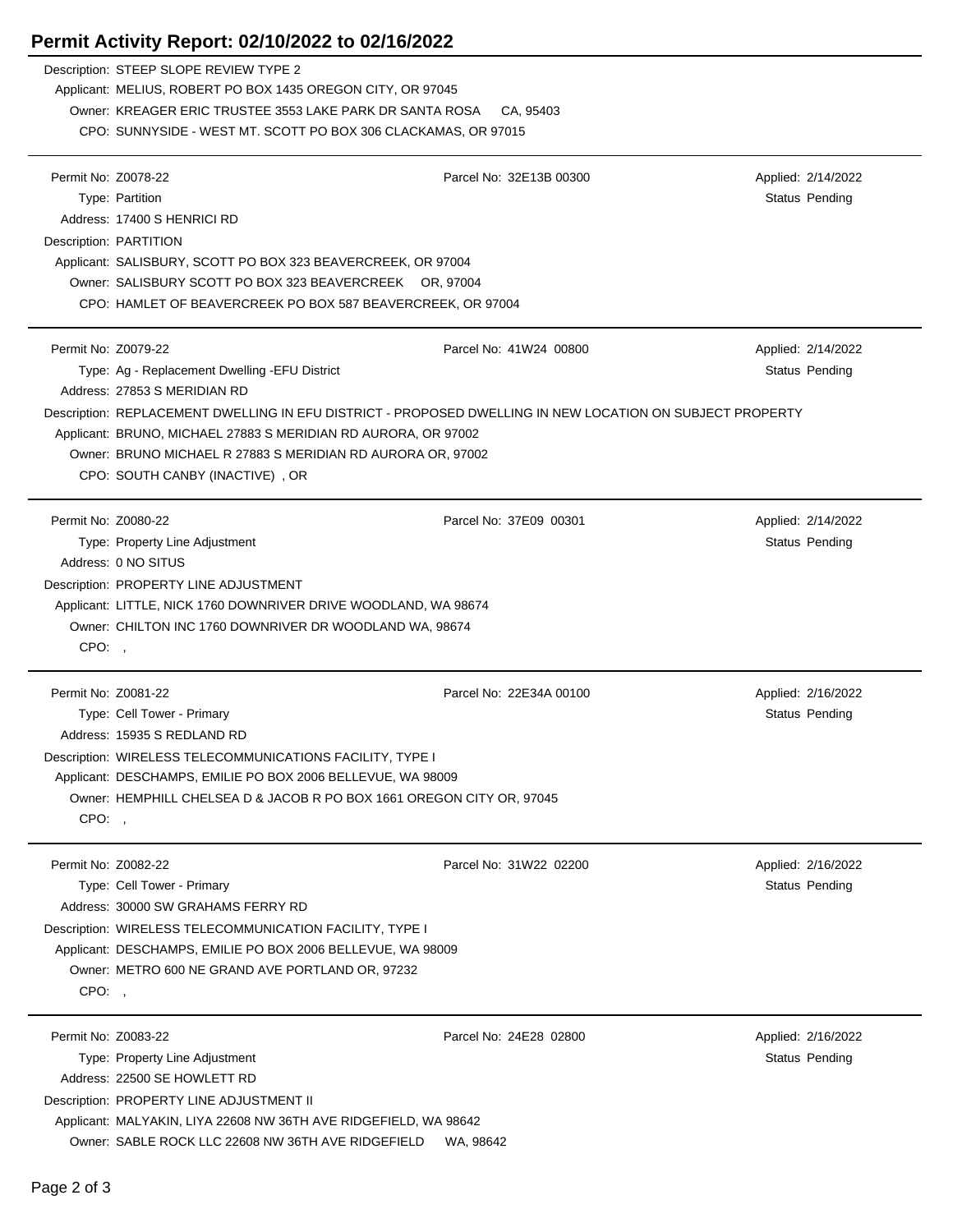## **Permit Activity Report: 02/10/2022 to 02/16/2022**

|                        | Description: STEEP SLOPE REVIEW TYPE 2                                                                    |                         |                    |  |  |
|------------------------|-----------------------------------------------------------------------------------------------------------|-------------------------|--------------------|--|--|
|                        | Applicant: MELIUS, ROBERT PO BOX 1435 OREGON CITY, OR 97045                                               |                         |                    |  |  |
|                        | Owner: KREAGER ERIC TRUSTEE 3553 LAKE PARK DR SANTA ROSA<br>CA, 95403                                     |                         |                    |  |  |
|                        | CPO: SUNNYSIDE - WEST MT. SCOTT PO BOX 306 CLACKAMAS, OR 97015                                            |                         |                    |  |  |
| Permit No: Z0078-22    |                                                                                                           | Parcel No: 32E13B 00300 | Applied: 2/14/2022 |  |  |
|                        | Type: Partition                                                                                           |                         | Status Pending     |  |  |
|                        | Address: 17400 S HENRICI RD                                                                               |                         |                    |  |  |
| Description: PARTITION |                                                                                                           |                         |                    |  |  |
|                        | Applicant: SALISBURY, SCOTT PO BOX 323 BEAVERCREEK, OR 97004                                              |                         |                    |  |  |
|                        | Owner: SALISBURY SCOTT PO BOX 323 BEAVERCREEK OR, 97004                                                   |                         |                    |  |  |
|                        | CPO: HAMLET OF BEAVERCREEK PO BOX 587 BEAVERCREEK, OR 97004                                               |                         |                    |  |  |
|                        |                                                                                                           |                         |                    |  |  |
| Permit No: Z0079-22    |                                                                                                           | Parcel No: 41W24 00800  | Applied: 2/14/2022 |  |  |
|                        | Type: Ag - Replacement Dwelling - EFU District                                                            |                         | Status Pending     |  |  |
|                        | Address: 27853 S MERIDIAN RD                                                                              |                         |                    |  |  |
|                        | Description: REPLACEMENT DWELLING IN EFU DISTRICT - PROPOSED DWELLING IN NEW LOCATION ON SUBJECT PROPERTY |                         |                    |  |  |
|                        | Applicant: BRUNO, MICHAEL 27883 S MERIDIAN RD AURORA, OR 97002                                            |                         |                    |  |  |
|                        | Owner: BRUNO MICHAEL R 27883 S MERIDIAN RD AURORA OR, 97002                                               |                         |                    |  |  |
|                        | CPO: SOUTH CANBY (INACTIVE), OR                                                                           |                         |                    |  |  |
|                        |                                                                                                           |                         |                    |  |  |
| Permit No: Z0080-22    |                                                                                                           | Parcel No: 37E09 00301  | Applied: 2/14/2022 |  |  |
|                        | Type: Property Line Adjustment                                                                            |                         | Status Pending     |  |  |
|                        | Address: 0 NO SITUS                                                                                       |                         |                    |  |  |
|                        | Description: PROPERTY LINE ADJUSTMENT                                                                     |                         |                    |  |  |
|                        | Applicant: LITTLE, NICK 1760 DOWNRIVER DRIVE WOODLAND, WA 98674                                           |                         |                    |  |  |
|                        | Owner: CHILTON INC 1760 DOWNRIVER DR WOODLAND WA, 98674                                                   |                         |                    |  |  |
| CPO:,                  |                                                                                                           |                         |                    |  |  |
|                        |                                                                                                           |                         |                    |  |  |
| Permit No: Z0081-22    |                                                                                                           | Parcel No: 22E34A 00100 | Applied: 2/16/2022 |  |  |
|                        | Type: Cell Tower - Primary                                                                                |                         | Status Pending     |  |  |
|                        | Address: 15935 S REDLAND RD                                                                               |                         |                    |  |  |
|                        | Description: WIRELESS TELECOMMUNICATIONS FACILITY, TYPE I                                                 |                         |                    |  |  |
|                        | Applicant: DESCHAMPS, EMILIE PO BOX 2006 BELLEVUE, WA 98009                                               |                         |                    |  |  |
|                        | Owner: HEMPHILL CHELSEA D & JACOB R PO BOX 1661 OREGON CITY OR, 97045                                     |                         |                    |  |  |
| CPO:,                  |                                                                                                           |                         |                    |  |  |
|                        |                                                                                                           |                         |                    |  |  |
| Permit No: Z0082-22    |                                                                                                           | Parcel No: 31W22 02200  | Applied: 2/16/2022 |  |  |
|                        | Type: Cell Tower - Primary                                                                                |                         | Status Pending     |  |  |
|                        | Address: 30000 SW GRAHAMS FERRY RD                                                                        |                         |                    |  |  |
|                        | Description: WIRELESS TELECOMMUNICATION FACILITY, TYPE I                                                  |                         |                    |  |  |
|                        | Applicant: DESCHAMPS, EMILIE PO BOX 2006 BELLEVUE, WA 98009                                               |                         |                    |  |  |
| CPO:                   | Owner: METRO 600 NE GRAND AVE PORTLAND OR, 97232                                                          |                         |                    |  |  |
|                        |                                                                                                           |                         |                    |  |  |
| Permit No: Z0083-22    |                                                                                                           | Parcel No: 24E28 02800  | Applied: 2/16/2022 |  |  |
|                        | Type: Property Line Adjustment                                                                            |                         | Status Pending     |  |  |
|                        | Address: 22500 SE HOWLETT RD                                                                              |                         |                    |  |  |
|                        | Description: PROPERTY LINE ADJUSTMENT II                                                                  |                         |                    |  |  |
|                        | Applicant: MALYAKIN, LIYA 22608 NW 36TH AVE RIDGEFIELD, WA 98642                                          |                         |                    |  |  |
|                        | Owner: SABLE ROCK LLC 22608 NW 36TH AVE RIDGEFIELD                                                        | WA, 98642               |                    |  |  |
|                        |                                                                                                           |                         |                    |  |  |